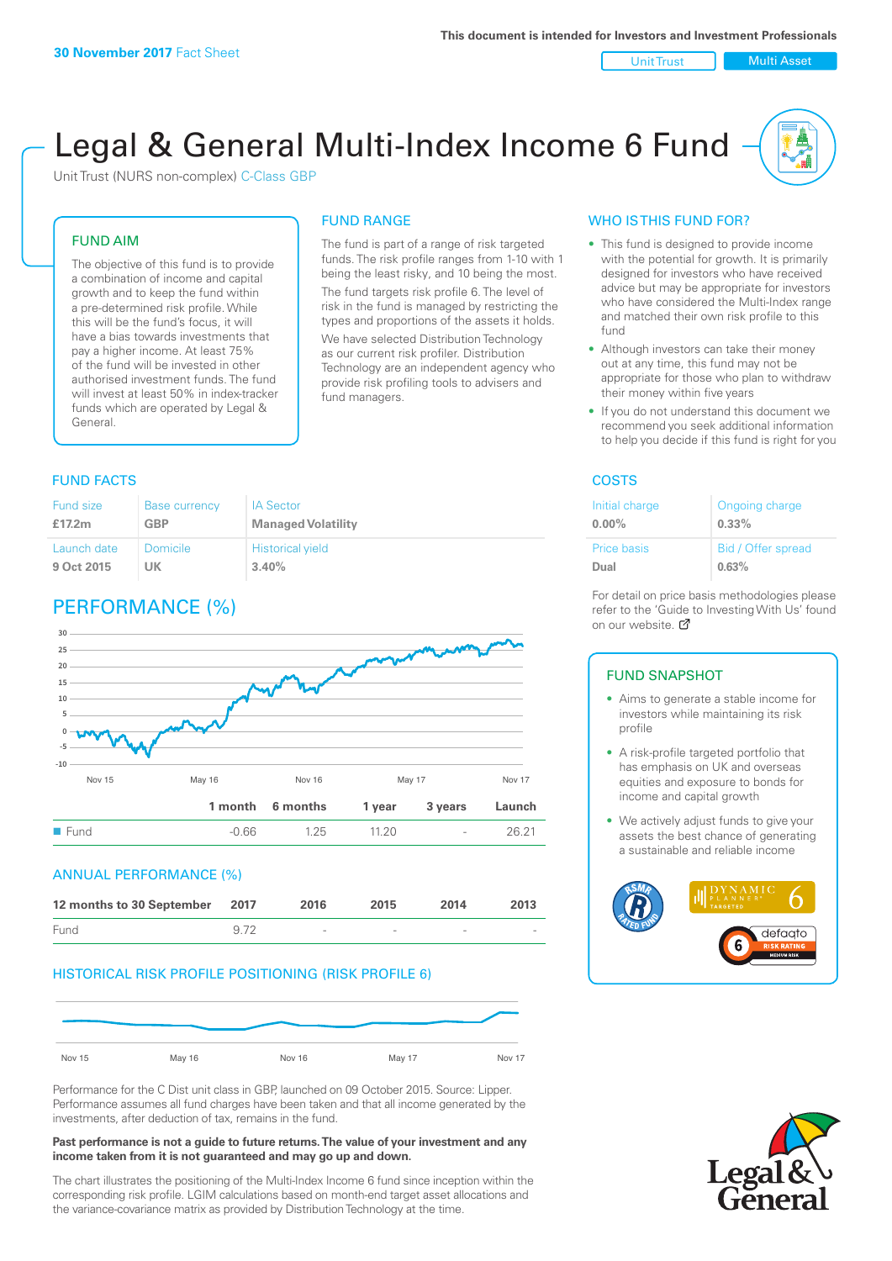Unit Trust | Multi Asset

# Legal & General Multi-Index Income 6 Fund

Unit Trust (NURS non-complex) C-Class GBP

#### FUND AIM

The objective of this fund is to provide a combination of income and capital growth and to keep the fund within a pre-determined risk profile. While this will be the fund's focus, it will have a bias towards investments that pay a higher income. At least 75% of the fund will be invested in other authorised investment funds. The fund will invest at least 50% in index-tracker funds which are operated by Legal & General.

## FUND RANGE

The fund is part of a range of risk targeted funds. The risk profile ranges from 1-10 with 1 being the least risky, and 10 being the most. The fund targets risk profile 6. The level of risk in the fund is managed by restricting the

types and proportions of the assets it holds. We have selected Distribution Technology as our current risk profiler. Distribution Technology are an independent agency who provide risk profiling tools to advisers and fund managers.

### **FUND FACTS** COSTS

| Fund size   | <b>Base currency</b> | <b>IA Sector</b>          |
|-------------|----------------------|---------------------------|
| £17.2m      | GBP                  | <b>Managed Volatility</b> |
| Launch date | Domicile             | <b>Historical yield</b>   |
| 9 Oct 2015  | UK                   | 3.40%                     |

### PERFORMANCE (%)



#### ANNUAL PERFORMANCE (%)

| 12 months to 30 September 2017 |      | 2016                     | 2015                     | 2014 | 2013 |
|--------------------------------|------|--------------------------|--------------------------|------|------|
| Fund                           | 9.72 | $\overline{\phantom{a}}$ | $\overline{\phantom{a}}$ | -    |      |

#### HISTORICAL RISK PROFILE POSITIONING (RISK PROFILE 6)



Performance for the C Dist unit class in GBP, launched on 09 October 2015. Source: Lipper. Performance assumes all fund charges have been taken and that all income generated by the investments, after deduction of tax, remains in the fund.

#### **Past performance is not a guide to future returns. The value of your investment and any income taken from it is not guaranteed and may go up and down.**

The chart illustrates the positioning of the Multi-Index Income 6 fund since inception within the corresponding risk profile. LGIM calculations based on month-end target asset allocations and the variance-covariance matrix as provided by Distribution Technology at the time.

#### WHO IS THIS FUND FOR?

- This fund is designed to provide income with the potential for growth. It is primarily designed for investors who have received advice but may be appropriate for investors who have considered the Multi-Index range and matched their own risk profile to this fund
- Although investors can take their money out at any time, this fund may not be appropriate for those who plan to withdraw their money within five years
- If you do not understand this document we recommend you seek additional information to help you decide if this fund is right for you

| Initial charge | Ongoing charge     |
|----------------|--------------------|
| $0.00\%$       | $0.33\%$           |
| Price basis    | Bid / Offer spread |
| Dual           | 0.63%              |

For detail on price basis methodologies please refer to the 'Gu[ide t](http://www.legalandgeneral.com/guide)o Investing With Us' found on our website. Ø

#### FUND SNAPSHOT

- Aims to generate a stable income for investors while maintaining its risk profile
- A risk-profile targeted portfolio that has emphasis on UK and overseas equities and exposure to bonds for income and capital growth
- We actively adjust funds to give your assets the best chance of generating a sustainable and reliable income



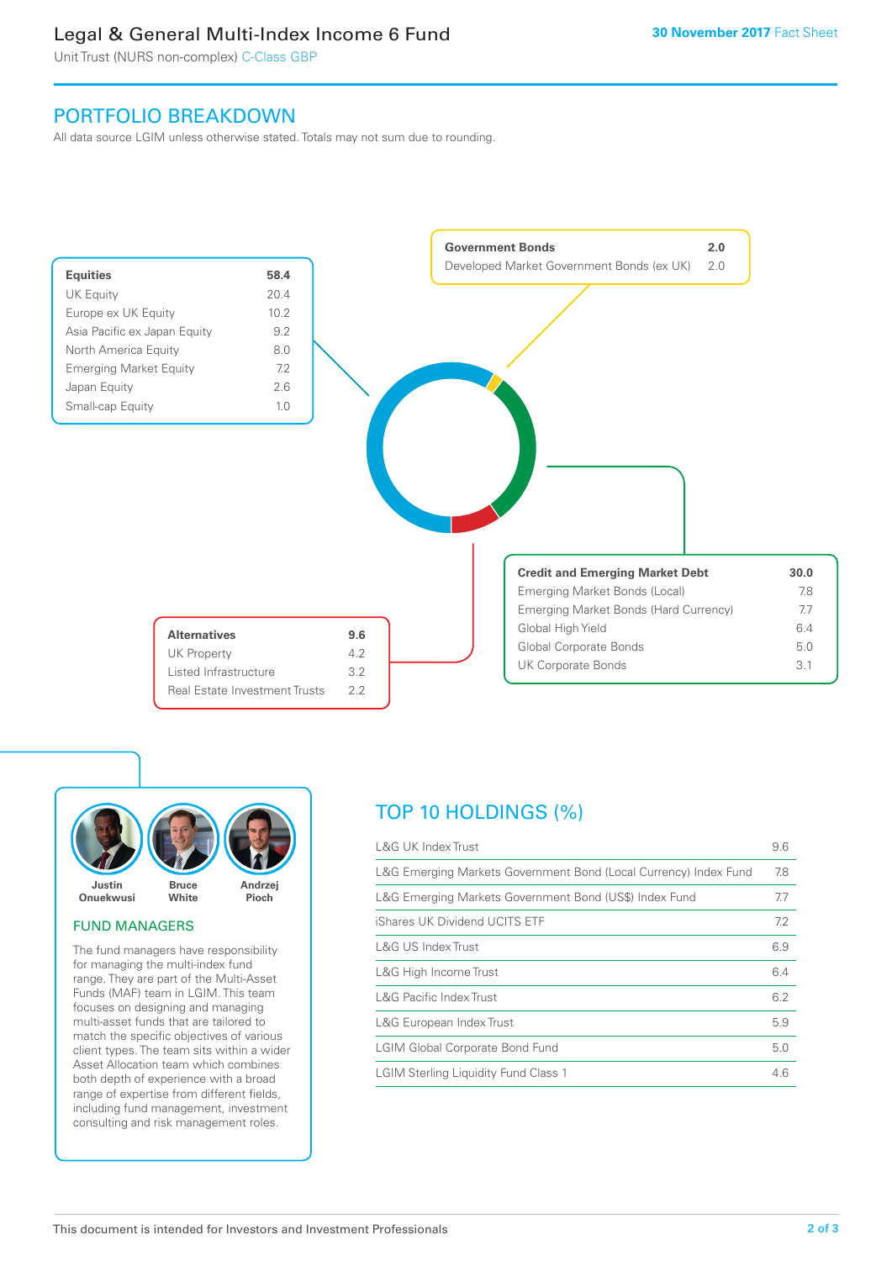### Legal & General Multi-Index Income 6 Fund

Unit Trust (NURS non-complex) C-Class GBP

### PORTFOLIO BREAKDOWN

All data source LGIM unless otherwise stated. Totals may not sum due to rounding.





#### FUND MANAGERS

The fund managers have responsibility for managing the multi-index fund range. They are part of the Multi-Asset Funds (MAF) team in LGIM. This team focuses on designing and managing multi-asset funds that are tailored to match the specific objectives of various client types. The team sits within a wider Asset Allocation team which combines both depth of experience with a broad range of expertise from different fields, including fund management, investment consulting and risk management roles.

### TOP 10 HOLDINGS (%)

| <b>L&amp;G UK Index Trust</b>                                    | 9.6 |
|------------------------------------------------------------------|-----|
| L&G Emerging Markets Government Bond (Local Currency) Index Fund | 7.8 |
| L&G Emerging Markets Government Bond (US\$) Index Fund           | 7.7 |
| iShares UK Dividend UCITS ETF                                    | 7.2 |
| L&G US Index Trust                                               | 6.9 |
| L&G High Income Trust                                            | 6.4 |
| <b>L&amp;G Pacific Index Trust</b>                               | 6.2 |
| L&G European Index Trust                                         | 5.9 |
| <b>LGIM Global Corporate Bond Fund</b>                           | 5.0 |
| <b>LGIM Sterling Liquidity Fund Class 1</b>                      | 4.6 |